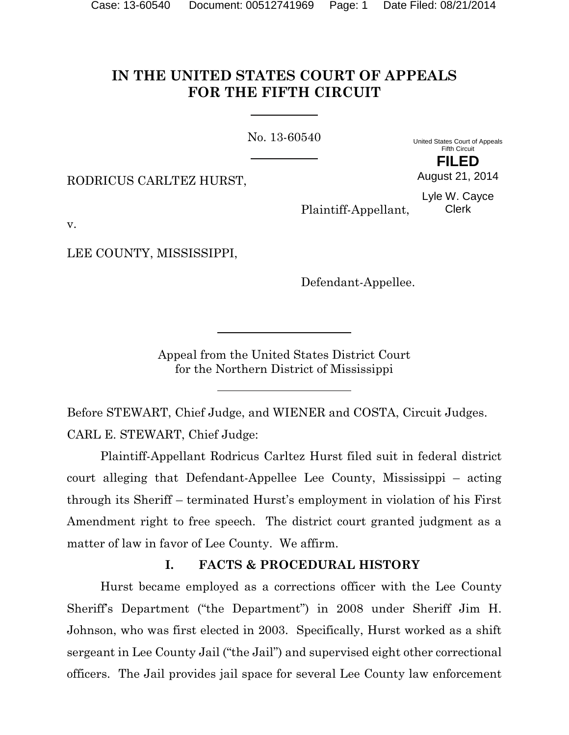# **IN THE UNITED STATES COURT OF APPEALS FOR THE FIFTH CIRCUIT**

No. 13-60540

United States Court of Appeals Fifth Circuit **FILED**

RODRICUS CARLTEZ HURST,

Lyle W. Cayce Clerk

August 21, 2014

Plaintiff-Appellant,

v.

LEE COUNTY, MISSISSIPPI,

Defendant-Appellee.

Appeal from the United States District Court for the Northern District of Mississippi

Before STEWART, Chief Judge, and WIENER and COSTA, Circuit Judges. CARL E. STEWART, Chief Judge:

Plaintiff-Appellant Rodricus Carltez Hurst filed suit in federal district court alleging that Defendant-Appellee Lee County, Mississippi – acting through its Sheriff – terminated Hurst's employment in violation of his First Amendment right to free speech. The district court granted judgment as a matter of law in favor of Lee County. We affirm.

## **I. FACTS & PROCEDURAL HISTORY**

Hurst became employed as a corrections officer with the Lee County Sheriff's Department ("the Department") in 2008 under Sheriff Jim H. Johnson, who was first elected in 2003. Specifically, Hurst worked as a shift sergeant in Lee County Jail ("the Jail") and supervised eight other correctional officers. The Jail provides jail space for several Lee County law enforcement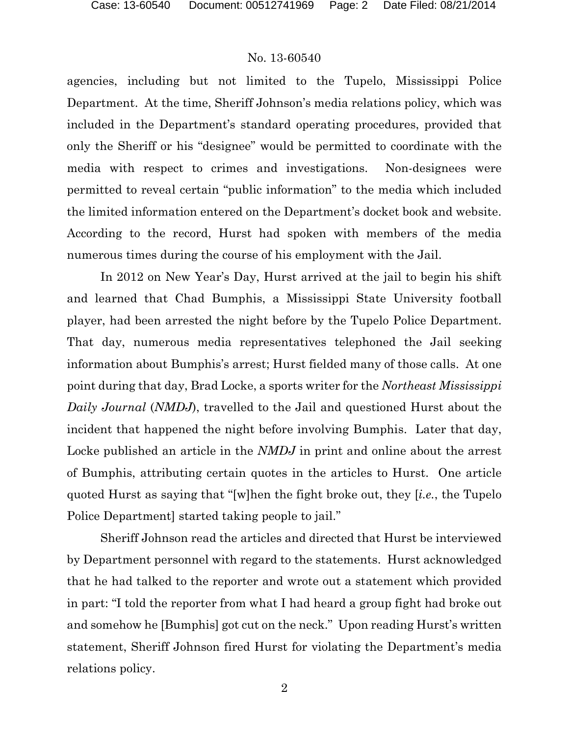agencies, including but not limited to the Tupelo, Mississippi Police Department. At the time, Sheriff Johnson's media relations policy, which was included in the Department's standard operating procedures, provided that only the Sheriff or his "designee" would be permitted to coordinate with the media with respect to crimes and investigations. Non-designees were permitted to reveal certain "public information" to the media which included the limited information entered on the Department's docket book and website. According to the record, Hurst had spoken with members of the media numerous times during the course of his employment with the Jail.

In 2012 on New Year's Day, Hurst arrived at the jail to begin his shift and learned that Chad Bumphis, a Mississippi State University football player, had been arrested the night before by the Tupelo Police Department. That day, numerous media representatives telephoned the Jail seeking information about Bumphis's arrest; Hurst fielded many of those calls. At one point during that day, Brad Locke, a sports writer for the *Northeast Mississippi Daily Journal* (*NMDJ*), travelled to the Jail and questioned Hurst about the incident that happened the night before involving Bumphis. Later that day, Locke published an article in the *NMDJ* in print and online about the arrest of Bumphis, attributing certain quotes in the articles to Hurst. One article quoted Hurst as saying that "[w]hen the fight broke out, they [*i.e.*, the Tupelo Police Department] started taking people to jail."

Sheriff Johnson read the articles and directed that Hurst be interviewed by Department personnel with regard to the statements. Hurst acknowledged that he had talked to the reporter and wrote out a statement which provided in part: "I told the reporter from what I had heard a group fight had broke out and somehow he [Bumphis] got cut on the neck." Upon reading Hurst's written statement, Sheriff Johnson fired Hurst for violating the Department's media relations policy.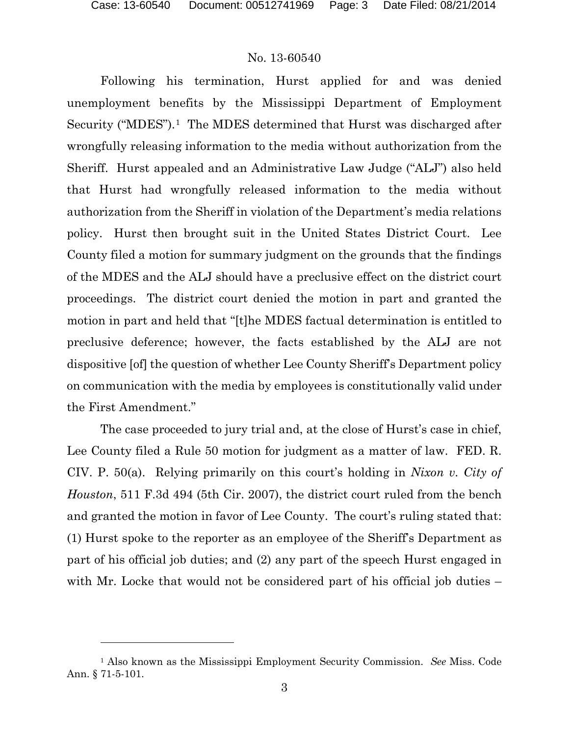l

#### No. 13-60540

Following his termination, Hurst applied for and was denied unemployment benefits by the Mississippi Department of Employment Security ("MDES").<sup>1</sup> The MDES determined that Hurst was discharged after wrongfully releasing information to the media without authorization from the Sheriff. Hurst appealed and an Administrative Law Judge ("ALJ") also held that Hurst had wrongfully released information to the media without authorization from the Sheriff in violation of the Department's media relations policy. Hurst then brought suit in the United States District Court. Lee County filed a motion for summary judgment on the grounds that the findings of the MDES and the ALJ should have a preclusive effect on the district court proceedings. The district court denied the motion in part and granted the motion in part and held that "[t]he MDES factual determination is entitled to preclusive deference; however, the facts established by the ALJ are not dispositive [of] the question of whether Lee County Sheriff's Department policy on communication with the media by employees is constitutionally valid under the First Amendment."

The case proceeded to jury trial and, at the close of Hurst's case in chief, Lee County filed a Rule 50 motion for judgment as a matter of law. FED. R. CIV. P. 50(a). Relying primarily on this court's holding in *Nixon v. City of Houston*, 511 F.3d 494 (5th Cir. 2007), the district court ruled from the bench and granted the motion in favor of Lee County. The court's ruling stated that: (1) Hurst spoke to the reporter as an employee of the Sheriff's Department as part of his official job duties; and (2) any part of the speech Hurst engaged in with Mr. Locke that would not be considered part of his official job duties –

<span id="page-2-0"></span><sup>1</sup> Also known as the Mississippi Employment Security Commission. *See* Miss. Code Ann. § 71-5-101.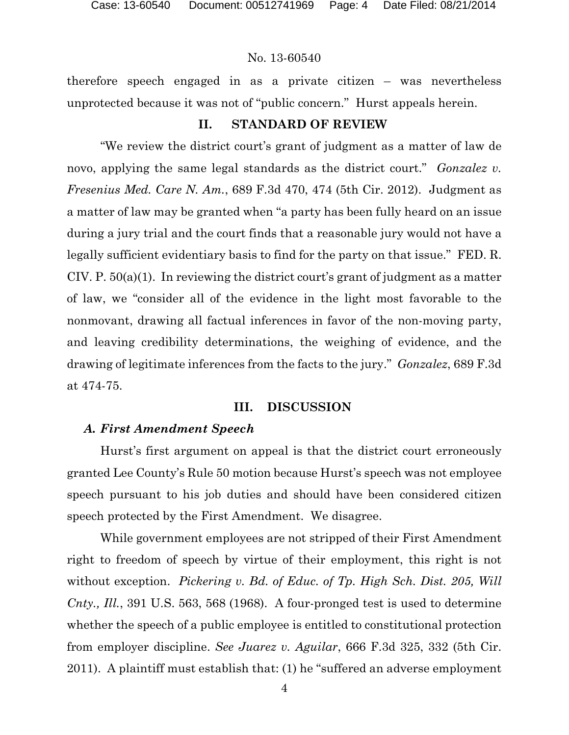therefore speech engaged in as a private citizen – was nevertheless unprotected because it was not of "public concern." Hurst appeals herein.

# **II. STANDARD OF REVIEW**

"We review the district court's grant of judgment as a matter of law de novo, applying the same legal standards as the district court." *Gonzalez v. Fresenius Med. Care N. Am.*, 689 F.3d 470, 474 (5th Cir. 2012). Judgment as a matter of law may be granted when "a party has been fully heard on an issue during a jury trial and the court finds that a reasonable jury would not have a legally sufficient evidentiary basis to find for the party on that issue." FED. R. CIV. P. 50(a)(1). In reviewing the district court's grant of judgment as a matter of law, we "consider all of the evidence in the light most favorable to the nonmovant, drawing all factual inferences in favor of the non-moving party, and leaving credibility determinations, the weighing of evidence, and the drawing of legitimate inferences from the facts to the jury." *Gonzalez*, 689 F.3d at 474-75.

## **III. DISCUSSION**

## *A. First Amendment Speech*

Hurst's first argument on appeal is that the district court erroneously granted Lee County's Rule 50 motion because Hurst's speech was not employee speech pursuant to his job duties and should have been considered citizen speech protected by the First Amendment. We disagree.

While government employees are not stripped of their First Amendment right to freedom of speech by virtue of their employment, this right is not without exception. *Pickering v. Bd. of Educ. of Tp. High Sch. Dist. 205, Will Cnty., Ill.*, 391 U.S. 563, 568 (1968). A four-pronged test is used to determine whether the speech of a public employee is entitled to constitutional protection from employer discipline. *See Juarez v. Aguilar*, 666 F.3d 325, 332 (5th Cir. 2011). A plaintiff must establish that: (1) he "suffered an adverse employment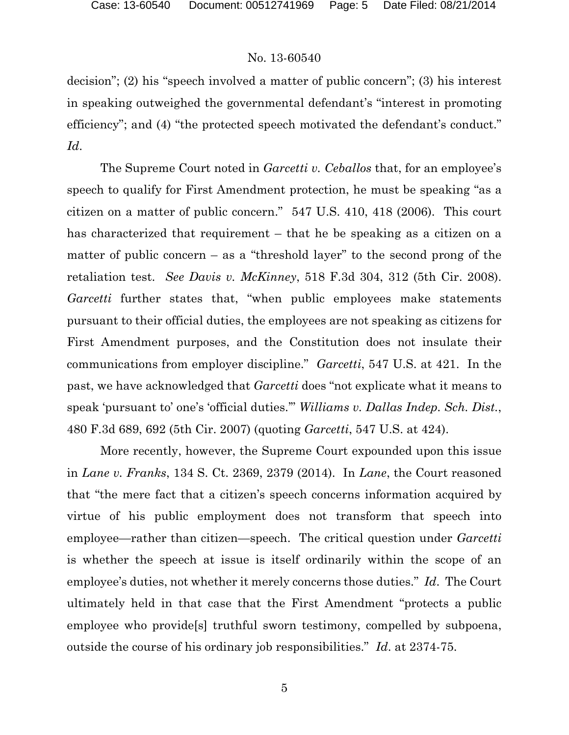decision"; (2) his "speech involved a matter of public concern"; (3) his interest in speaking outweighed the governmental defendant's "interest in promoting efficiency"; and (4) "the protected speech motivated the defendant's conduct." *Id*.

The Supreme Court noted in *Garcetti v. Ceballos* that, for an employee's speech to qualify for First Amendment protection, he must be speaking "as a citizen on a matter of public concern." 547 U.S. 410, 418 (2006). This court has characterized that requirement – that he be speaking as a citizen on a matter of public concern – as a "threshold layer" to the second prong of the retaliation test. *See Davis v. McKinney*, 518 F.3d 304, 312 (5th Cir. 2008). *Garcetti* further states that, "when public employees make statements pursuant to their official duties, the employees are not speaking as citizens for First Amendment purposes, and the Constitution does not insulate their communications from employer discipline." *Garcetti*, 547 U.S. at 421. In the past, we have acknowledged that *Garcetti* does "not explicate what it means to speak 'pursuant to' one's 'official duties.'" *Williams v. Dallas Indep. Sch. Dist.*, 480 F.3d 689, 692 (5th Cir. 2007) (quoting *Garcetti*, 547 U.S. at 424).

More recently, however, the Supreme Court expounded upon this issue in *Lane v. Franks*, 134 S. Ct. 2369, 2379 (2014). In *Lane*, the Court reasoned that "the mere fact that a citizen's speech concerns information acquired by virtue of his public employment does not transform that speech into employee—rather than citizen—speech. The critical question under *Garcetti* is whether the speech at issue is itself ordinarily within the scope of an employee's duties, not whether it merely concerns those duties." *Id*. The Court ultimately held in that case that the First Amendment "protects a public employee who provide[s] truthful sworn testimony, compelled by subpoena, outside the course of his ordinary job responsibilities." *Id*. at 2374-75.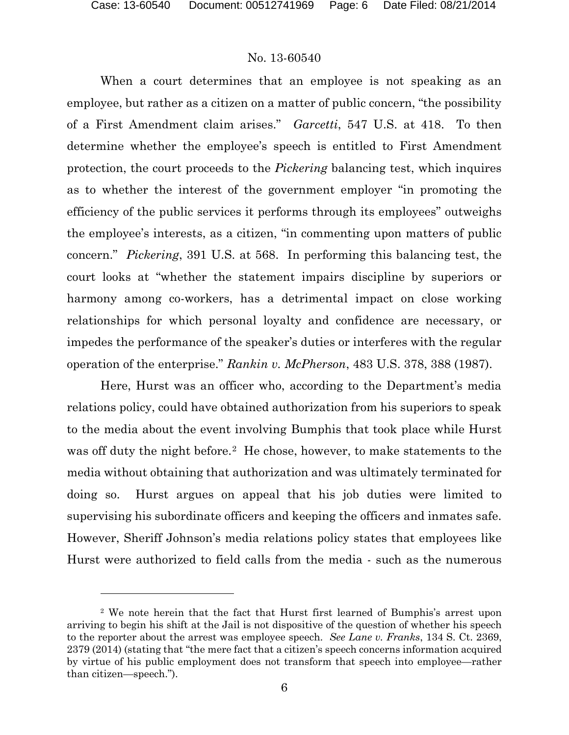$\overline{a}$ 

#### No. 13-60540

When a court determines that an employee is not speaking as an employee, but rather as a citizen on a matter of public concern, "the possibility of a First Amendment claim arises." *Garcetti*, 547 U.S. at 418. To then determine whether the employee's speech is entitled to First Amendment protection, the court proceeds to the *Pickering* balancing test, which inquires as to whether the interest of the government employer "in promoting the efficiency of the public services it performs through its employees" outweighs the employee's interests, as a citizen, "in commenting upon matters of public concern." *Pickering*, 391 U.S. at 568. In performing this balancing test, the court looks at "whether the statement impairs discipline by superiors or harmony among co-workers, has a detrimental impact on close working relationships for which personal loyalty and confidence are necessary, or impedes the performance of the speaker's duties or interferes with the regular operation of the enterprise." *Rankin v. McPherson*, 483 U.S. 378, 388 (1987).

Here, Hurst was an officer who, according to the Department's media relations policy, could have obtained authorization from his superiors to speak to the media about the event involving Bumphis that took place while Hurst was off duty the night before.<sup>2</sup> He chose, however, to make statements to the media without obtaining that authorization and was ultimately terminated for doing so. Hurst argues on appeal that his job duties were limited to supervising his subordinate officers and keeping the officers and inmates safe. However, Sheriff Johnson's media relations policy states that employees like Hurst were authorized to field calls from the media - such as the numerous

<span id="page-5-0"></span><sup>2</sup> We note herein that the fact that Hurst first learned of Bumphis's arrest upon arriving to begin his shift at the Jail is not dispositive of the question of whether his speech to the reporter about the arrest was employee speech. *See Lane v. Franks*, 134 S. Ct. 2369, 2379 (2014) (stating that "the mere fact that a citizen's speech concerns information acquired by virtue of his public employment does not transform that speech into employee—rather than citizen—speech.").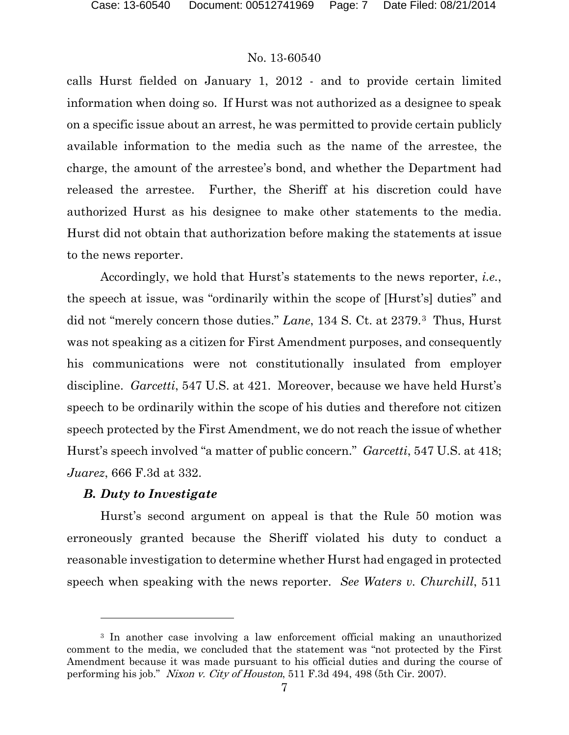calls Hurst fielded on January 1, 2012 - and to provide certain limited information when doing so. If Hurst was not authorized as a designee to speak on a specific issue about an arrest, he was permitted to provide certain publicly available information to the media such as the name of the arrestee, the charge, the amount of the arrestee's bond, and whether the Department had released the arrestee. Further, the Sheriff at his discretion could have authorized Hurst as his designee to make other statements to the media. Hurst did not obtain that authorization before making the statements at issue to the news reporter.

Accordingly, we hold that Hurst's statements to the news reporter, *i.e.*, the speech at issue, was "ordinarily within the scope of [Hurst's] duties" and did not "merely concern those duties." *Lane*, 134 S. Ct. at 2379.[3](#page-6-0) Thus, Hurst was not speaking as a citizen for First Amendment purposes, and consequently his communications were not constitutionally insulated from employer discipline. *Garcetti*, 547 U.S. at 421. Moreover, because we have held Hurst's speech to be ordinarily within the scope of his duties and therefore not citizen speech protected by the First Amendment, we do not reach the issue of whether Hurst's speech involved "a matter of public concern." *Garcetti*, 547 U.S. at 418; *Juarez*, 666 F.3d at 332.

#### *B. Duty to Investigate*

 $\overline{a}$ 

Hurst's second argument on appeal is that the Rule 50 motion was erroneously granted because the Sheriff violated his duty to conduct a reasonable investigation to determine whether Hurst had engaged in protected speech when speaking with the news reporter. *See Waters v. Churchill*, 511

<span id="page-6-0"></span><sup>3</sup> In another case involving a law enforcement official making an unauthorized comment to the media, we concluded that the statement was "not protected by the First Amendment because it was made pursuant to his official duties and during the course of performing his job." Nixon v. City of Houston, 511 F.3d 494, 498 (5th Cir. 2007).